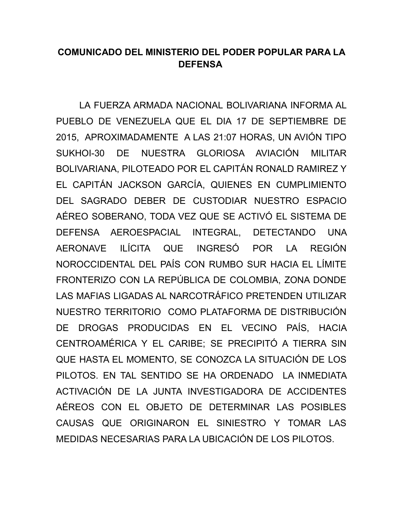## **COMUNICADO DEL MINISTERIO DEL PODER POPULAR PARA LA DEFENSA**

LA FUERZA ARMADA NACIONAL BOLIVARIANA INFORMA AL PUEBLO DE VENEZUELA QUE EL DIA 17 DE SEPTIEMBRE DE 2015, APROXIMADAMENTE A LAS 21:07 HORAS, UN AVIÓN TIPO SUKHOI-30 DE NUESTRA GLORIOSA AVIACIÓN MILITAR BOLIVARIANA, PILOTEADO POR EL CAPITÁN RONALD RAMIREZ Y EL CAPITÁN JACKSON GARCÍA, QUIENES EN CUMPLIMIENTO DEL SAGRADO DEBER DE CUSTODIAR NUESTRO ESPACIO AÉREO SOBERANO, TODA VEZ QUE SE ACTIVÓ EL SISTEMA DE DEFENSA AEROESPACIAL INTEGRAL, DETECTANDO UNA AERONAVE ILÍCITA QUE INGRESÓ POR LA REGIÓN NOROCCIDENTAL DEL PAÍS CON RUMBO SUR HACIA EL LÍMITE FRONTERIZO CON LA REPÚBLICA DE COLOMBIA, ZONA DONDE LAS MAFIAS LIGADAS AL NARCOTRÁFICO PRETENDEN UTILIZAR NUESTRO TERRITORIO COMO PLATAFORMA DE DISTRIBUCIÓN DE DROGAS PRODUCIDAS EN EL VECINO PAÍS, HACIA CENTROAMÉRICA Y EL CARIBE; SE PRECIPITÓ A TIERRA SIN QUE HASTA EL MOMENTO, SE CONOZCA LA SITUACIÓN DE LOS PILOTOS. EN TAL SENTIDO SE HA ORDENADO LA INMEDIATA ACTIVACIÓN DE LA JUNTA INVESTIGADORA DE ACCIDENTES AÉREOS CON EL OBJETO DE DETERMINAR LAS POSIBLES CAUSAS QUE ORIGINARON EL SINIESTRO Y TOMAR LAS MEDIDAS NECESARIAS PARA LA UBICACIÓN DE LOS PILOTOS.